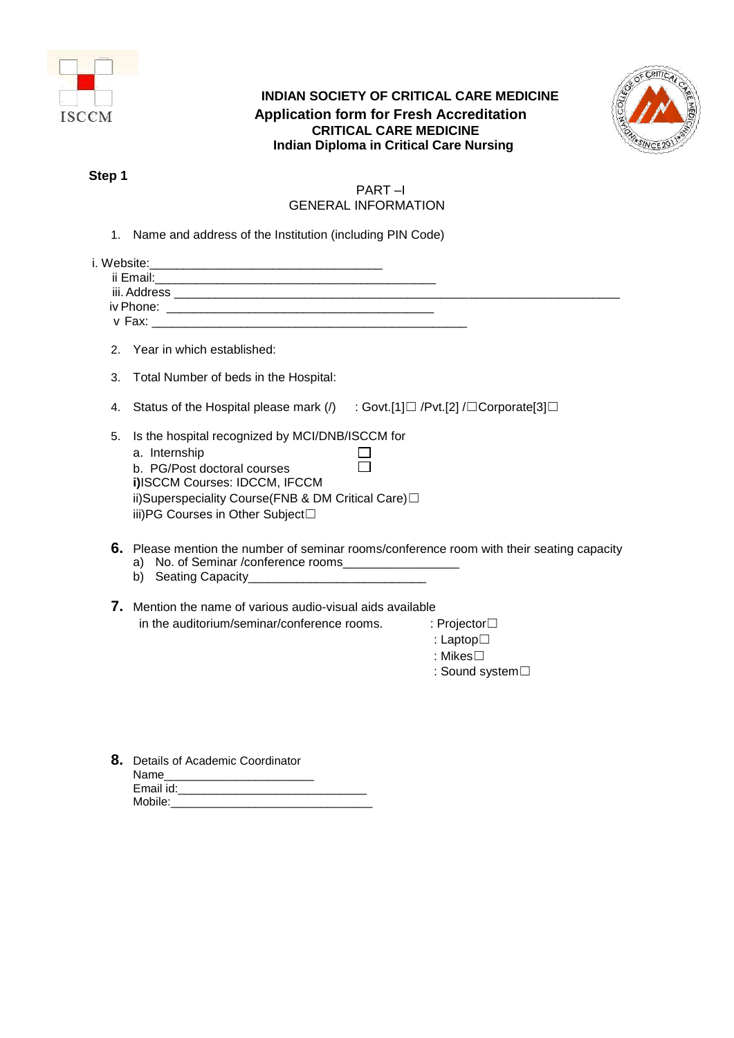

# **INDIAN SOCIETY OF CRITICAL CARE MEDICINE Application form for Fresh Accreditation CRITICAL CARE MEDICINE Indian Diploma in Critical Care Nursing**



# **Step 1**

# PART –I GENERAL INFORMATION

1. Name and address of the Institution (including PIN Code)

| 2 <sub>1</sub> | Year in which established:                                                                                                                                                                                                 |                                                                                           |
|----------------|----------------------------------------------------------------------------------------------------------------------------------------------------------------------------------------------------------------------------|-------------------------------------------------------------------------------------------|
| 3.             | Total Number of beds in the Hospital:                                                                                                                                                                                      |                                                                                           |
| 4.             | Status of the Hospital please mark (/) : Govt.[1]□ /Pvt.[2] /□ Corporate[3]□                                                                                                                                               |                                                                                           |
| 5.             | Is the hospital recognized by MCI/DNB/ISCCM for<br>a. Internship<br>b. PG/Post doctoral courses<br>i)ISCCM Courses: IDCCM, IFCCM<br>ii)Superspeciality Course(FNB & DM Critical Care)□<br>iii)PG Courses in Other Subject□ |                                                                                           |
|                | a) No. of Seminar /conference rooms____________________                                                                                                                                                                    | 6. Please mention the number of seminar rooms/conference room with their seating capacity |
|                | <b>7.</b> Mention the name of various audio-visual aids available                                                                                                                                                          |                                                                                           |
|                | in the auditorium/seminar/conference rooms.                                                                                                                                                                                | : Projector $\Box$                                                                        |
|                |                                                                                                                                                                                                                            | : Laptop $\square$                                                                        |
|                |                                                                                                                                                                                                                            | : Mikes $\Box$                                                                            |
|                |                                                                                                                                                                                                                            | : Sound system $\Box$                                                                     |
|                |                                                                                                                                                                                                                            |                                                                                           |
|                |                                                                                                                                                                                                                            |                                                                                           |
|                |                                                                                                                                                                                                                            |                                                                                           |
|                |                                                                                                                                                                                                                            |                                                                                           |

| 8. Details of Academic Coordinator |
|------------------------------------|
| Name                               |
| Email id:                          |
| Mobile:                            |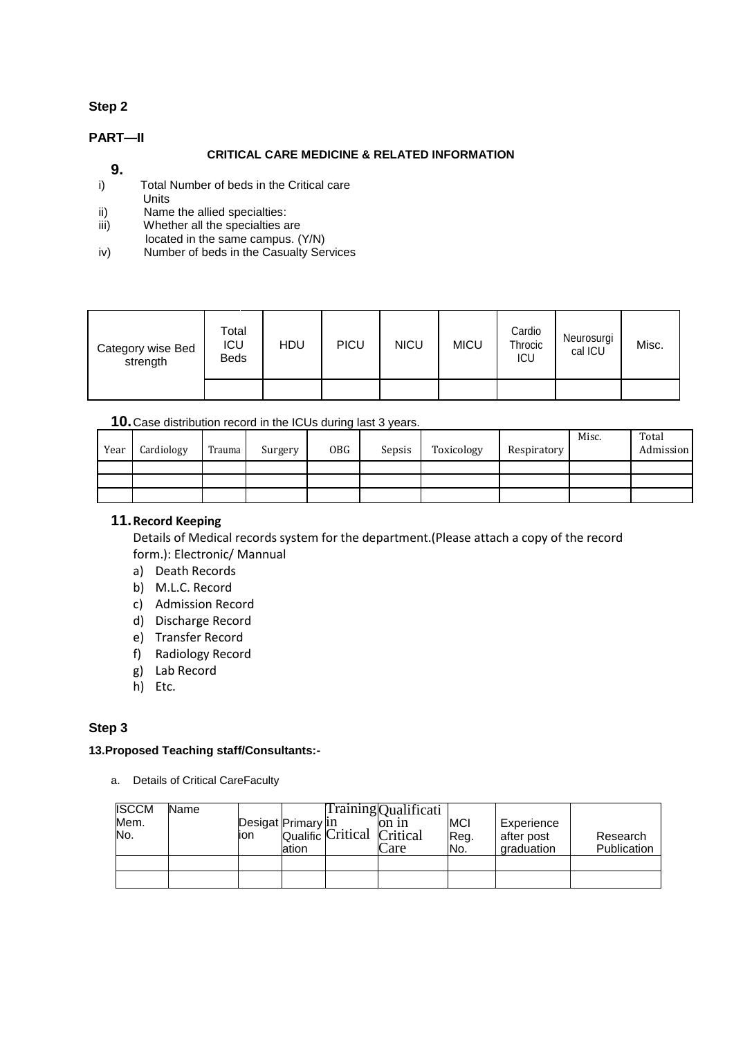# **Step 2**

## **PART—II**

## **CRITICAL CARE MEDICINE & RELATED INFORMATION**

# **9.**

- i) Total Number of beds in the Critical care
- **Units**
- ii) Name the allied specialties:<br>iii) Whether all the specialties a Whether all the specialties are
- located in the same campus. (Y/N)
- iv) Number of beds in the Casualty Services

| Category wise Bed<br>strength | Total<br>ICU<br><b>Beds</b> | <b>HDU</b> | PICU | <b>NICU</b> | <b>MICU</b> | Cardio<br>Throcic<br>ICU | Neurosurgi<br>cal ICU | Misc. |
|-------------------------------|-----------------------------|------------|------|-------------|-------------|--------------------------|-----------------------|-------|
|                               |                             |            |      |             |             |                          |                       |       |

## **10.**Case distribution record in the ICUs during last 3 years.

| Year | Cardiology | Trauma | Surgery | 0BG | Sepsis | Toxicology | Respiratory | Misc. | Total<br>Admission |
|------|------------|--------|---------|-----|--------|------------|-------------|-------|--------------------|
|      |            |        |         |     |        |            |             |       |                    |
|      |            |        |         |     |        |            |             |       |                    |
|      |            |        |         |     |        |            |             |       |                    |

## **11.Record Keeping**

Details of Medical records system for the department.(Please attach a copy of the record form.): Electronic/ Mannual

- a) Death Records
- b) M.L.C. Record
- c) Admission Record
- d) Discharge Record
- e) Transfer Record
- f) Radiology Record
- g) Lab Record
- h) Etc.

## **Step 3**

### **13.Proposed Teaching staff/Consultants:-**

a. Details of Critical CareFaculty

| <b>ISCCM</b><br>Mem.<br>No. | Name | Desigat Primary In<br>ion | ation | Qualific Critical Critical | Training Qualificati<br>lon in<br>Care | <b>MCI</b><br>Reg.<br>INo. | Experience<br>after post<br>graduation | Research<br>Publication |
|-----------------------------|------|---------------------------|-------|----------------------------|----------------------------------------|----------------------------|----------------------------------------|-------------------------|
|                             |      |                           |       |                            |                                        |                            |                                        |                         |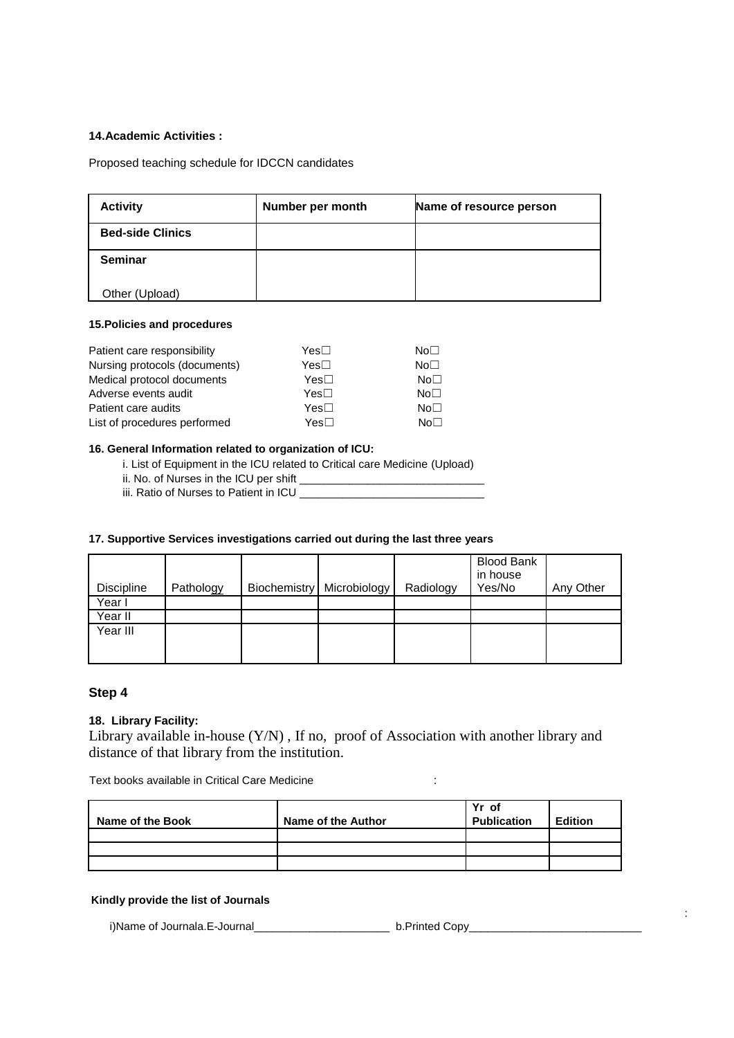#### **14.Academic Activities :**

Proposed teaching schedule for IDCCN candidates

| <b>Activity</b>         | Number per month | Name of resource person |
|-------------------------|------------------|-------------------------|
| <b>Bed-side Clinics</b> |                  |                         |
| <b>Seminar</b>          |                  |                         |
| Other (Upload)          |                  |                         |

#### **15.Policies and procedures**

| Patient care responsibility   | Yes⊟             | No <sub>1</sub> |
|-------------------------------|------------------|-----------------|
| Nursing protocols (documents) | Yes□             | No <sub>1</sub> |
| Medical protocol documents    | Yes⊟             | No <sub>1</sub> |
| Adverse events audit          | Yes <sub>1</sub> | No <sub>1</sub> |
| Patient care audits           | Yes <sub>1</sub> | No <sub>1</sub> |
| List of procedures performed  | Yes□             | No <sub>1</sub> |

#### **16. General Information related to organization of ICU:**

i. List of Equipment in the ICU related to Critical care Medicine (Upload)

ii. No. of Nurses in the ICU per shift \_\_\_\_\_\_\_\_\_\_\_\_\_\_\_\_\_\_\_\_\_\_\_\_\_\_\_\_\_\_

iii. Ratio of Nurses to Patient in ICU \_\_\_\_\_\_\_\_\_\_\_\_\_\_\_\_\_\_\_\_\_\_\_\_\_\_\_\_\_\_

#### **17. Supportive Services investigations carried out during the last three years**

| <b>Discipline</b> | Pathology | <b>Biochemistry</b> | Microbiology | Radiology | <b>Blood Bank</b><br>in house<br>Yes/No | Any Other |
|-------------------|-----------|---------------------|--------------|-----------|-----------------------------------------|-----------|
| Year I            |           |                     |              |           |                                         |           |
| Year II           |           |                     |              |           |                                         |           |
| Year III          |           |                     |              |           |                                         |           |
|                   |           |                     |              |           |                                         |           |
|                   |           |                     |              |           |                                         |           |

### **Step 4**

#### **18. Library Facility:**

Library available in-house (Y/N) , If no, proof of Association with another library and distance of that library from the institution.

Text books available in Critical Care Medicine :

| Name of the Book | Name of the Author | Yr of<br><b>Publication</b> | <b>Edition</b> |
|------------------|--------------------|-----------------------------|----------------|
|                  |                    |                             |                |
|                  |                    |                             |                |
|                  |                    |                             |                |

:

#### **Kindly provide the list of Journals**

i)Name of Journala.E-Journal<br>
under the b.Printed Copy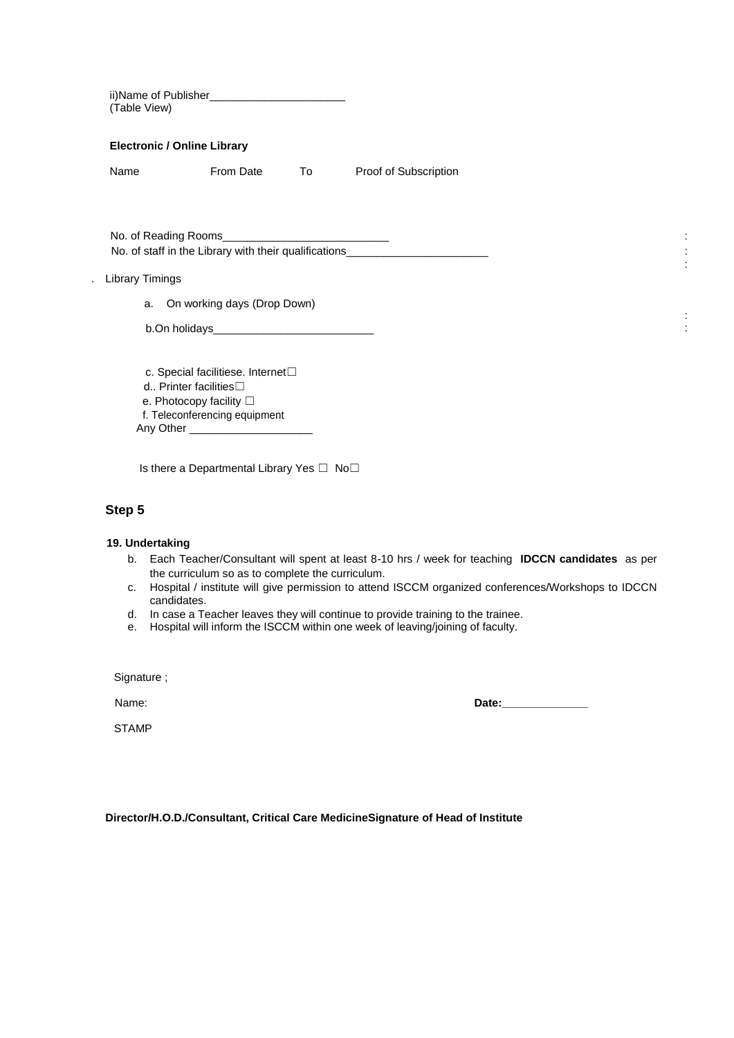| ii)Name of Publisher________________________________<br>(Table View) |                                                                                                                                                 |    |                                                                                  |  |
|----------------------------------------------------------------------|-------------------------------------------------------------------------------------------------------------------------------------------------|----|----------------------------------------------------------------------------------|--|
| <b>Electronic / Online Library</b>                                   |                                                                                                                                                 |    |                                                                                  |  |
| Name                                                                 | From Date                                                                                                                                       | To | Proof of Subscription                                                            |  |
|                                                                      |                                                                                                                                                 |    |                                                                                  |  |
|                                                                      |                                                                                                                                                 |    | No. of staff in the Library with their qualifications___________________________ |  |
| <b>Library Timings</b>                                               |                                                                                                                                                 |    |                                                                                  |  |
|                                                                      | a. On working days (Drop Down)                                                                                                                  |    |                                                                                  |  |
|                                                                      |                                                                                                                                                 |    |                                                                                  |  |
| d Printer facilities $\square$                                       | c. Special facilitiese. Internet <sup>[1]</sup><br>e. Photocopy facility □<br>f. Teleconferencing equipment<br>Any Other ______________________ |    |                                                                                  |  |

Is there a Departmental Library Yes □ No□

## **Step 5**

### **19. Undertaking**

- b. Each Teacher/Consultant will spent at least 8-10 hrs / week for teaching **IDCCN candidates** as per the curriculum so as to complete the curriculum.
- c. Hospital / institute will give permission to attend ISCCM organized conferences/Workshops to IDCCN candidates.
- d. In case a Teacher leaves they will continue to provide training to the trainee.
- e. Hospital will inform the ISCCM within one week of leaving/joining of faculty.

Signature ;

**STAMP** 

Name: **Date:** 

:

:

**Director/H.O.D./Consultant, Critical Care MedicineSignature of Head of Institute**